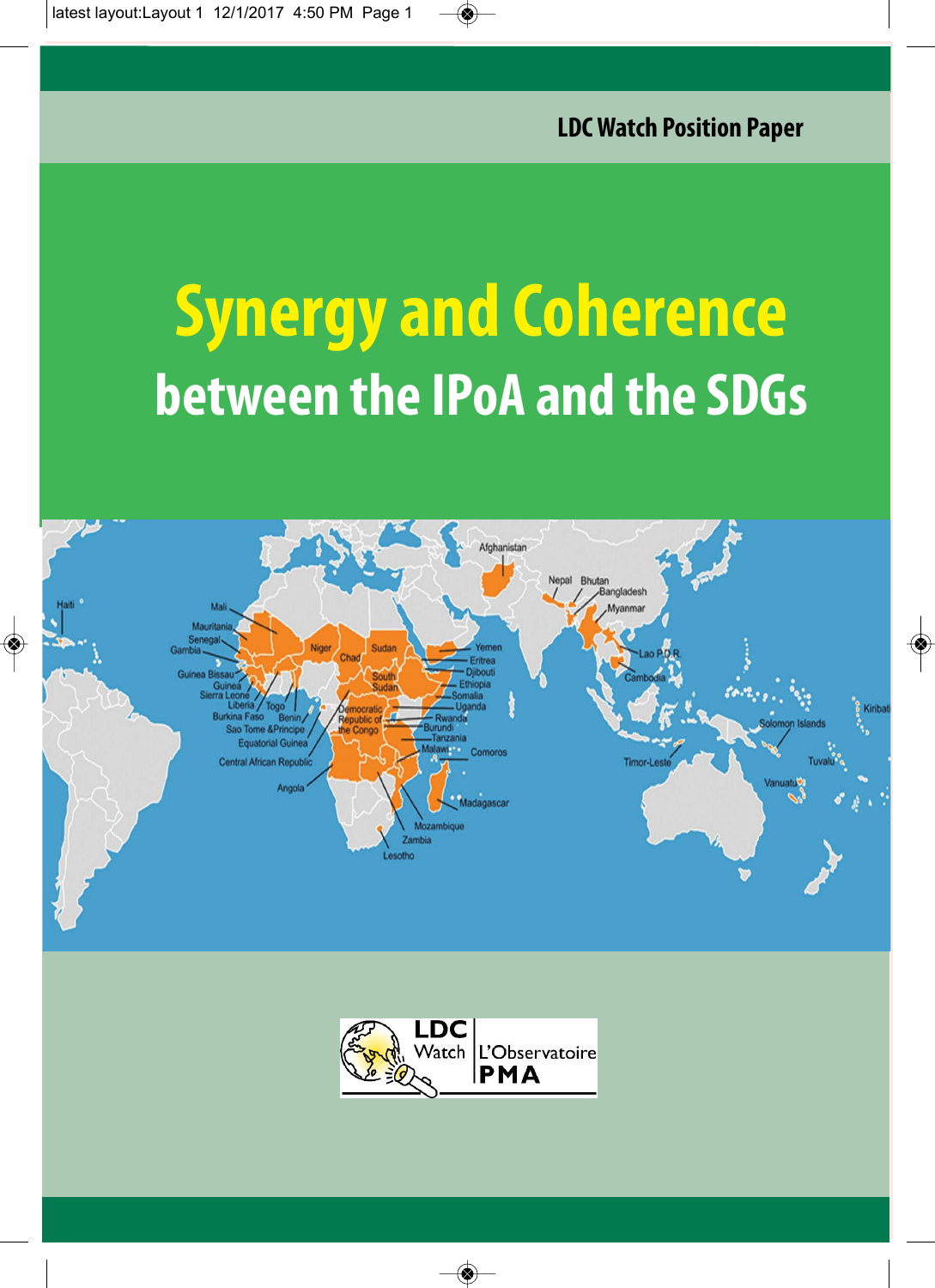# **Synergy and Coherence between the IPoA and the SDGs**



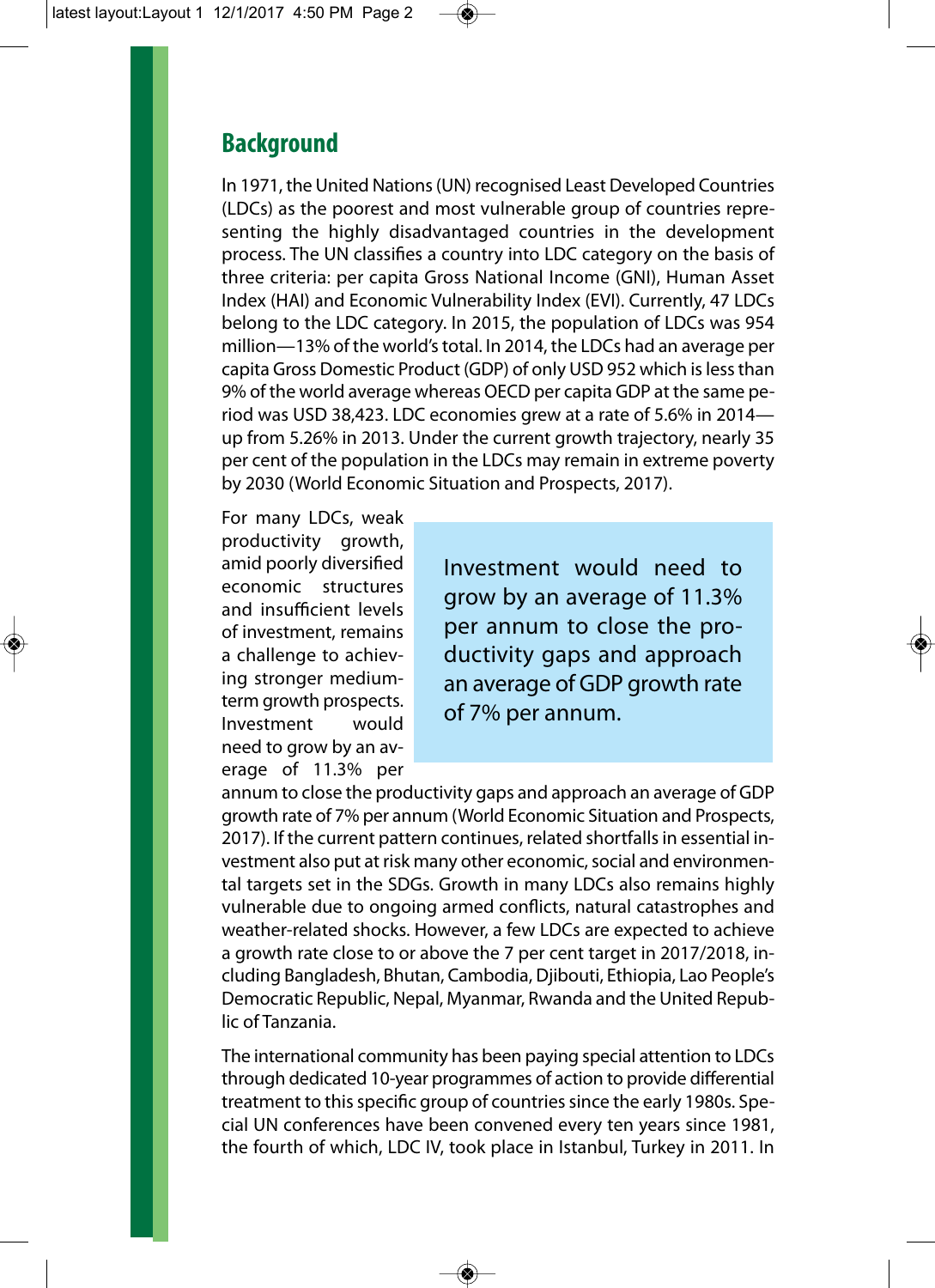## **Background**

In 1971, the United Nations (UN) recognised Least Developed Countries (LDCs) as the poorest and most vulnerable group of countries representing the highly disadvantaged countries in the development process. The UN classifies a country into LDC category on the basis of three criteria: per capita Gross National Income (GNI), Human Asset Index (HAI) and Economic Vulnerability Index (EVI). Currently, 47 LDCs belong to the LDC category. In 2015, the population of LDCs was 954 million—13% of the world's total. In 2014, the LDCs had an average per capita Gross Domestic Product (GDP) of only USD 952 which is less than 9% of the world average whereas OECD per capita GDP at the same period was USD 38,423. LDC economies grew at a rate of 5.6% in 2014 up from 5.26% in 2013. Under the current growth trajectory, nearly 35 per cent of the population in the LDCs may remain in extreme poverty by 2030 (World Economic Situation and Prospects, 2017).

For many LDCs, weak productivity growth, amid poorly diversified economic structures and insufficient levels of investment, remains a challenge to achieving stronger mediumterm growth prospects. Investment would need to grow by an average of 11.3% per

Investment would need to grow by an average of 11.3% per annum to close the productivity gaps and approach an average of GDP growth rate of 7% per annum.

annum to close the productivity gaps and approach an average of GDP growth rate of 7% per annum (World Economic Situation and Prospects, 2017). If the current pattern continues, related shortfalls in essential investment also put at risk many other economic, social and environmental targets set in the SDGs. Growth in many LDCs also remains highly vulnerable due to ongoing armed conflicts, natural catastrophes and weather-related shocks. However, a few LDCs are expected to achieve a growth rate close to or above the 7 per cent target in 2017/2018, including Bangladesh, Bhutan, Cambodia, Djibouti, Ethiopia, Lao People's Democratic Republic, Nepal, Myanmar, Rwanda and the United Republic of Tanzania.

The international community has been paying special attention to LDCs through dedicated 10-year programmes of action to provide differential treatment to this specific group of countries since the early 1980s. Special UN conferences have been convened every ten years since 1981, the fourth of which, LDC IV, took place in Istanbul, Turkey in 2011. In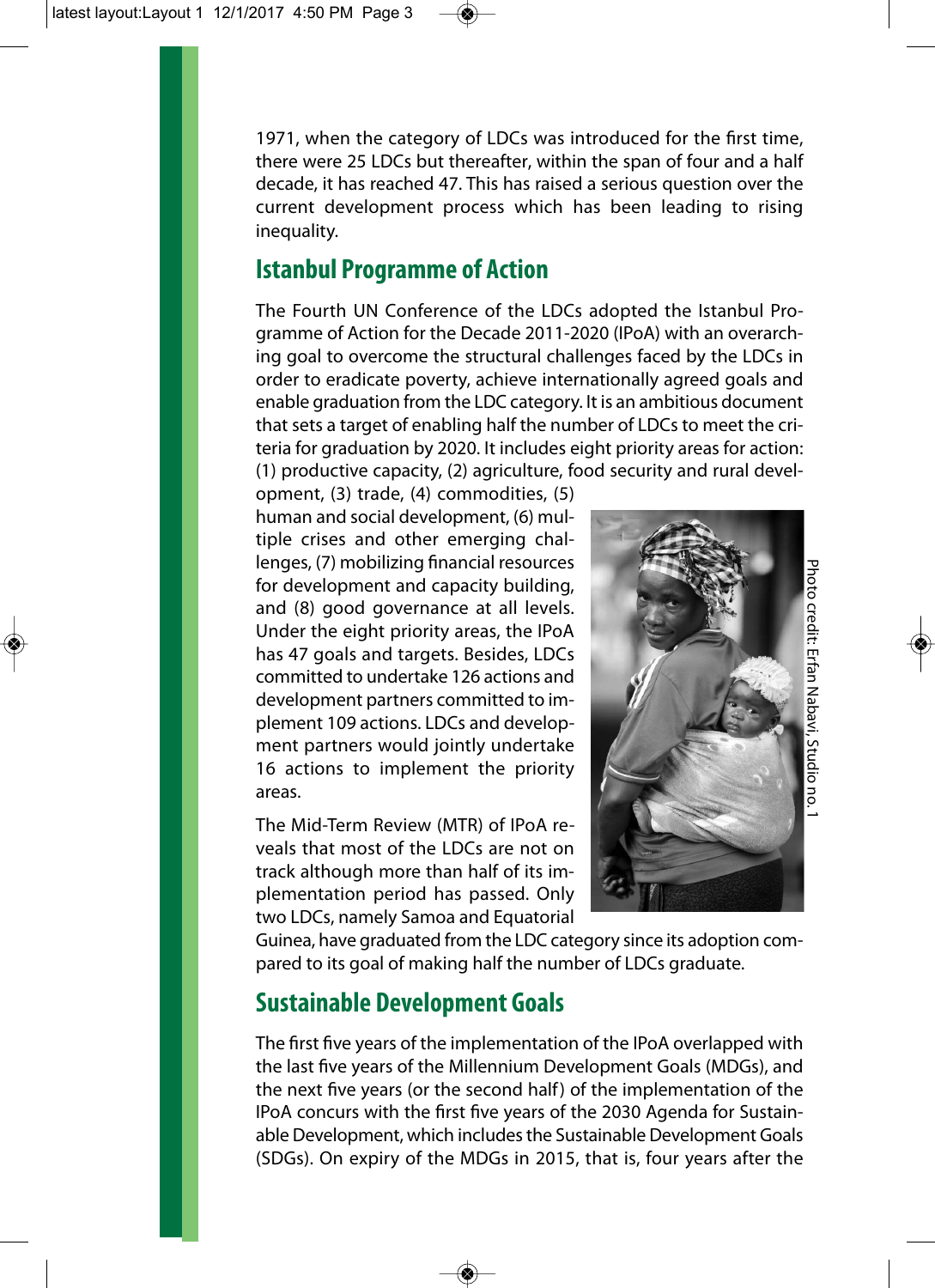1971, when the category of LDCs was introduced for the first time, there were 25 LDCs but thereafter, within the span of four and a half decade, it has reached 47. This has raised a serious question over the current development process which has been leading to rising inequality.

## **Istanbul Programme of Action**

The Fourth UN Conference of the LDCs adopted the Istanbul Programme of Action for the Decade 2011-2020 (IPoA) with an overarching goal to overcome the structural challenges faced by the LDCs in order to eradicate poverty, achieve internationally agreed goals and enable graduation from the LDC category. It is an ambitious document that sets a target of enabling half the number of LDCs to meet the criteria for graduation by 2020. It includes eight priority areas for action: (1) productive capacity, (2) agriculture, food security and rural devel-

opment, (3) trade, (4) commodities, (5) human and social development, (6) multiple crises and other emerging challenges, (7) mobilizing financial resources for development and capacity building, and (8) good governance at all levels. Under the eight priority areas, the IPoA has 47 goals and targets. Besides, LDCs committed to undertake 126 actions and development partners committed to implement 109 actions. LDCs and development partners would jointly undertake 16 actions to implement the priority areas.

The Mid-Term Review (MTR) of IPoA reveals that most of the LDCs are not on track although more than half of its implementation period has passed. Only two LDCs, namely Samoa and Equatorial



Guinea, have graduated from the LDC category since its adoption compared to its goal of making half the number of LDCs graduate.

## **Sustainable Development Goals**

The first five years of the implementation of the IPoA overlapped with the last five years of the Millennium Development Goals (MDGs), and the next five years (or the second half) of the implementation of the IPoA concurs with the first five years of the 2030 Agenda for Sustainable Development, which includes the Sustainable Development Goals (SDGs). On expiry of the MDGs in 2015, that is, four years after the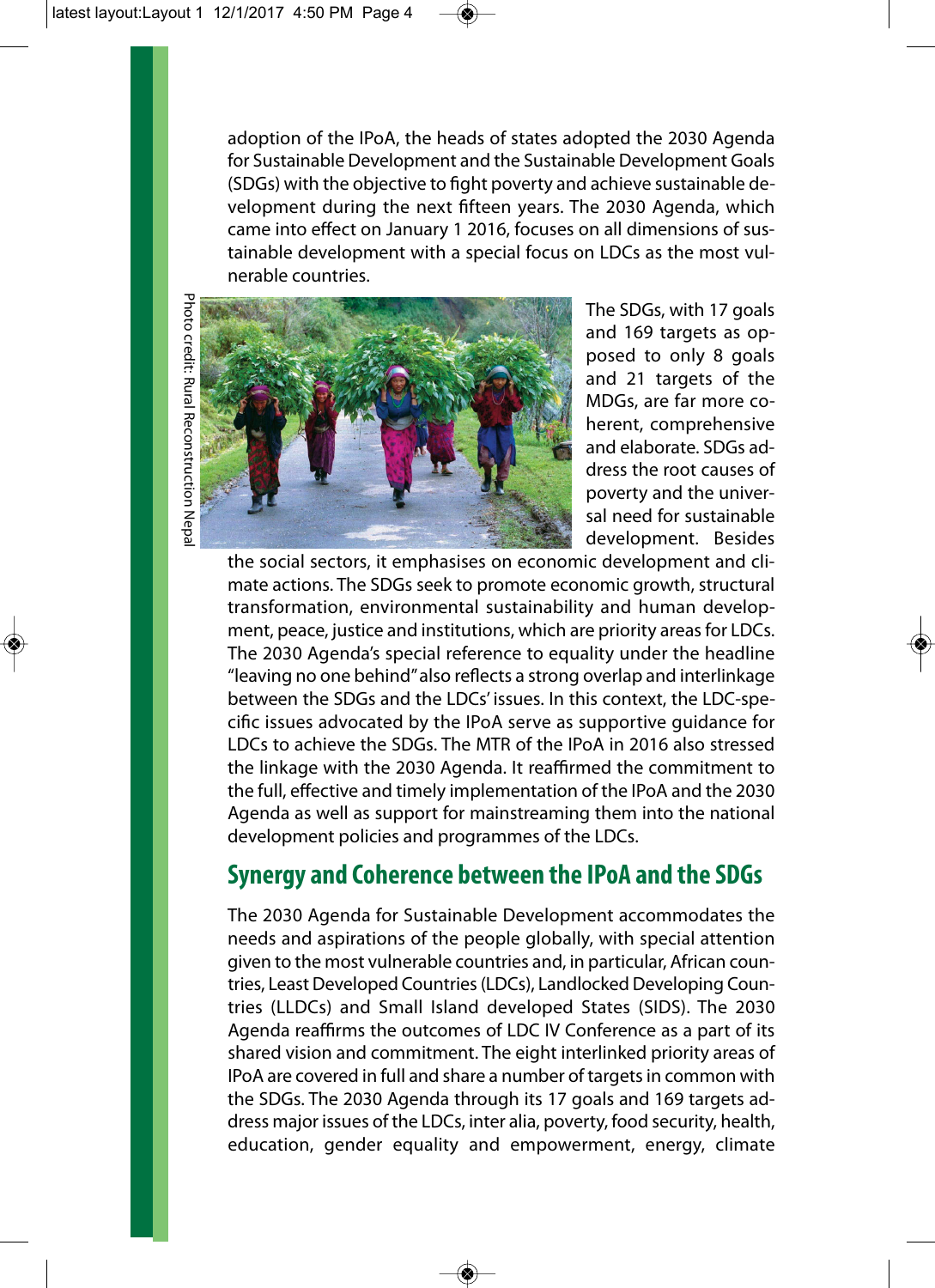adoption of the IPoA, the heads of states adopted the 2030 Agenda for Sustainable Development and the Sustainable Development Goals (SDGs) with the objective to fight poverty and achieve sustainable development during the next fifteen years. The 2030 Agenda, which came into effect on January 1 2016, focuses on all dimensions of sustainable development with a special focus on LDCs as the most vulnerable countries.



The SDGs, with 17 goals and 169 targets as opposed to only 8 goals and 21 targets of the MDGs, are far more coherent, comprehensive and elaborate. SDGs address the root causes of poverty and the universal need for sustainable development. Besides

the social sectors, it emphasises on economic development and climate actions. The SDGs seek to promote economic growth, structural transformation, environmental sustainability and human development, peace, justice and institutions, which are priority areas for LDCs. The 2030 Agenda's special reference to equality under the headline "leaving no one behind" also reflects a strong overlap and interlinkage between the SDGs and the LDCs' issues. In this context, the LDC-specific issues advocated by the IPoA serve as supportive guidance for LDCs to achieve the SDGs. The MTR of the IPoA in 2016 also stressed the linkage with the 2030 Agenda. It reaffirmed the commitment to the full, effective and timely implementation of the IPoA and the 2030 Agenda as well as support for mainstreaming them into the national development policies and programmes of the LDCs.

## **Synergy and Coherence between the IPoA and the SDGs**

The 2030 Agenda for Sustainable Development accommodates the needs and aspirations of the people globally, with special attention given to the most vulnerable countries and, in particular, African countries, Least Developed Countries (LDCs), Landlocked Developing Countries (LLDCs) and Small Island developed States (SIDS). The 2030 Agenda reaffirms the outcomes of LDC IV Conference as a part of its shared vision and commitment. The eight interlinked priority areas of IPoA are covered in full and share a number of targets in common with the SDGs. The 2030 Agenda through its 17 goals and 169 targets address major issues of the LDCs, inter alia, poverty, food security, health, education, gender equality and empowerment, energy, climate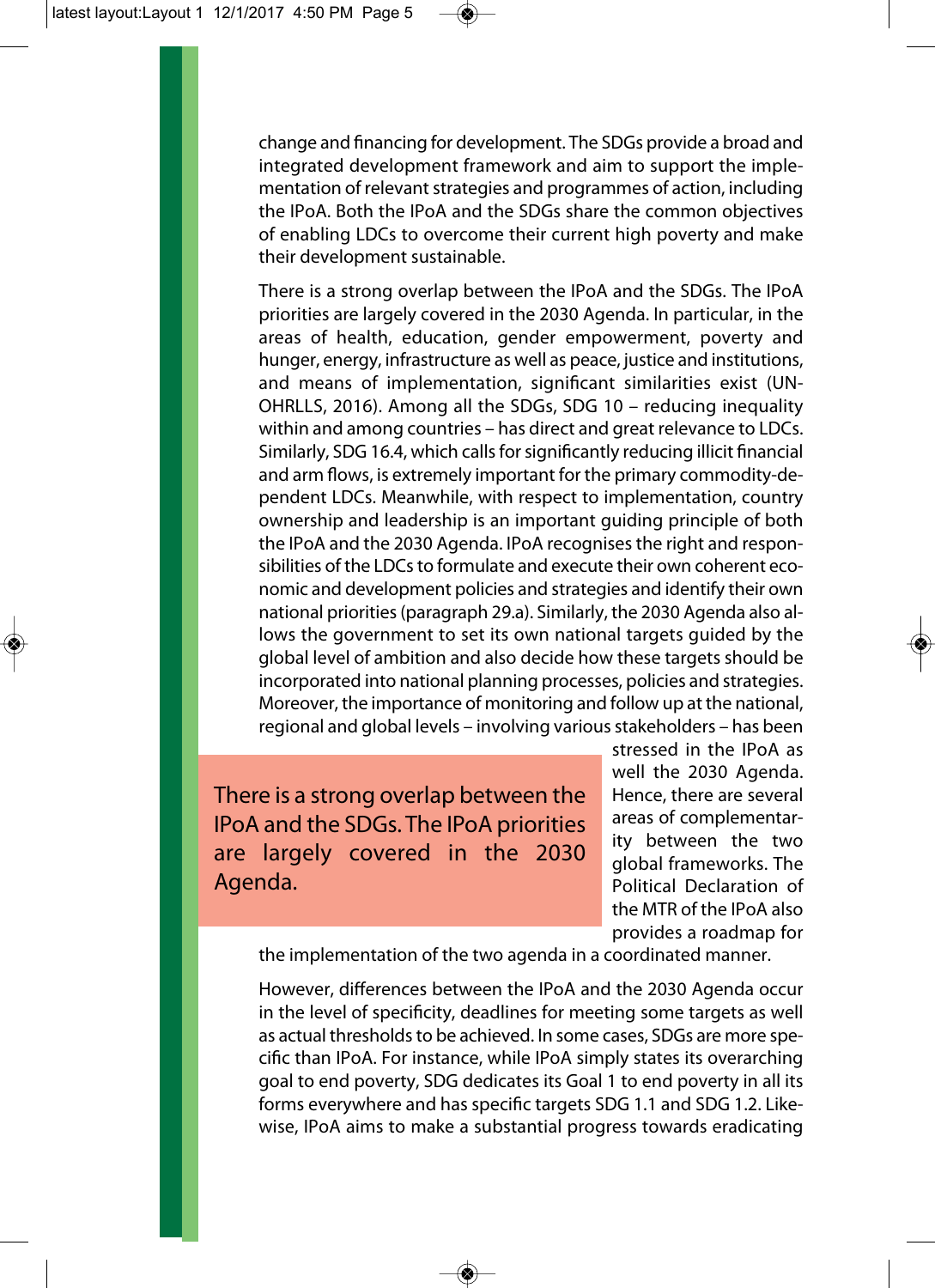change and financing for development. The SDGs provide a broad and integrated development framework and aim to support the implementation of relevant strategies and programmes of action, including the IPoA. Both the IPoA and the SDGs share the common objectives of enabling LDCs to overcome their current high poverty and make their development sustainable.

There is a strong overlap between the IPoA and the SDGs. The IPoA priorities are largely covered in the 2030 Agenda. In particular, in the areas of health, education, gender empowerment, poverty and hunger, energy, infrastructure as well as peace, justice and institutions, and means of implementation, significant similarities exist (UN-OHRLLS, 2016). Among all the SDGs, SDG 10 – reducing inequality within and among countries – has direct and great relevance to LDCs. Similarly, SDG 16.4, which calls for significantly reducing illicit financial and arm flows, is extremely important for the primary commodity-dependent LDCs. Meanwhile, with respect to implementation, country ownership and leadership is an important guiding principle of both the IPoA and the 2030 Agenda. IPoA recognises the right and responsibilities of the LDCs to formulate and execute their own coherent economic and development policies and strategies and identify their own national priorities (paragraph 29.a). Similarly, the 2030 Agenda also allows the government to set its own national targets guided by the global level of ambition and also decide how these targets should be incorporated into national planning processes, policies and strategies. Moreover, the importance of monitoring and follow up at the national, regional and global levels – involving various stakeholders – has been

There is a strong overlap between the IPoA and the SDGs. The IPoA priorities are largely covered in the 2030 Agenda.

stressed in the IPoA as well the 2030 Agenda. Hence, there are several areas of complementarity between the two global frameworks. The Political Declaration of the MTR of the IPoA also provides a roadmap for

the implementation of the two agenda in a coordinated manner.

However, differences between the IPoA and the 2030 Agenda occur in the level of specificity, deadlines for meeting some targets as well as actual thresholds to be achieved. In some cases, SDGs are more specific than IPoA. For instance, while IPoA simply states its overarching goal to end poverty, SDG dedicates its Goal 1 to end poverty in all its forms everywhere and has specific targets SDG 1.1 and SDG 1.2. Likewise, IPoA aims to make a substantial progress towards eradicating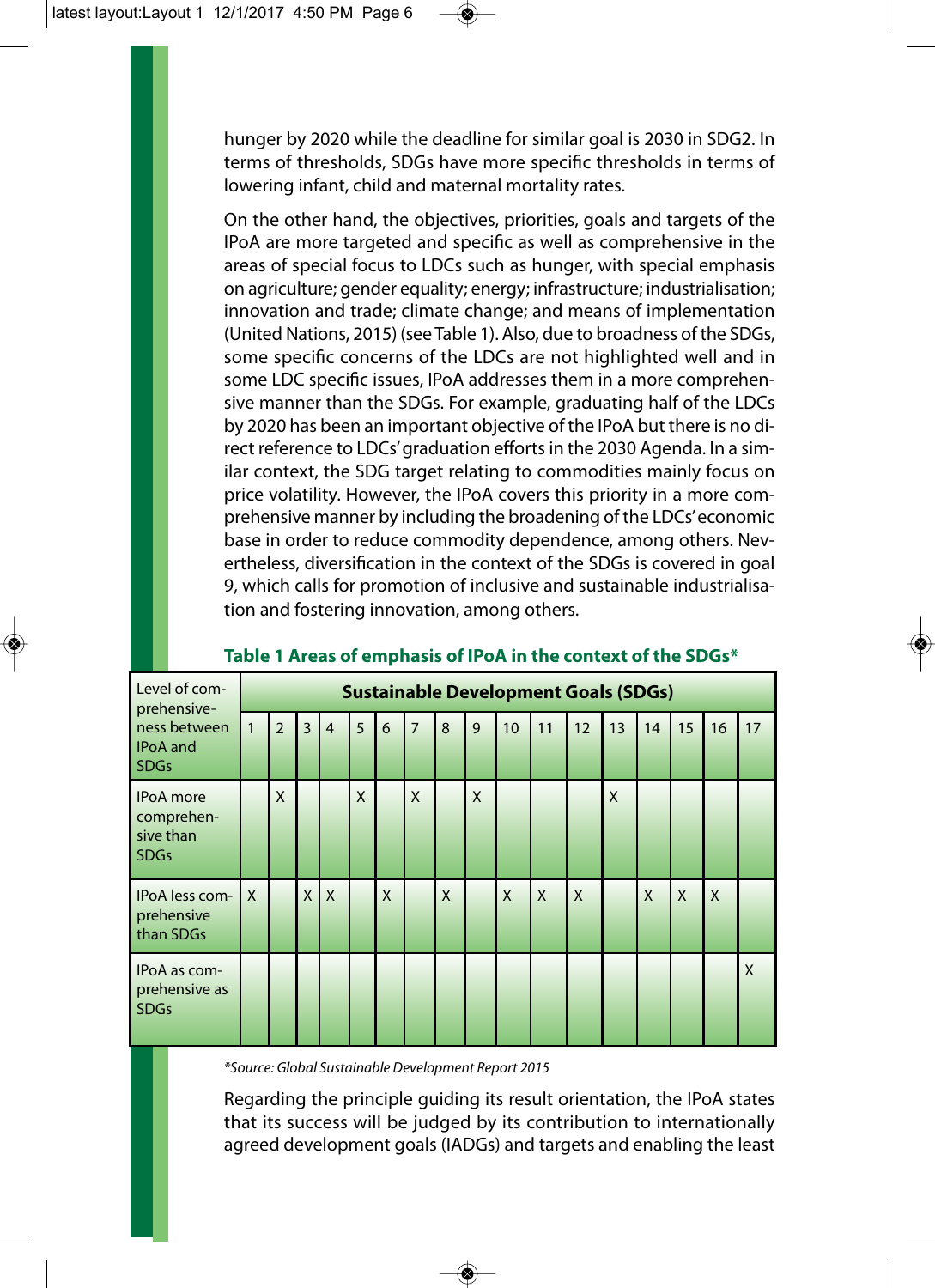hunger by 2020 while the deadline for similar goal is 2030 in SDG2. In terms of thresholds, SDGs have more specific thresholds in terms of lowering infant, child and maternal mortality rates.

On the other hand, the objectives, priorities, goals and targets of the IPoA are more targeted and specific as well as comprehensive in the areas of special focus to LDCs such as hunger, with special emphasis on agriculture; gender equality; energy; infrastructure; industrialisation; innovation and trade; climate change; and means of implementation (United Nations, 2015) (see Table 1). Also, due to broadness of the SDGs, some specific concerns of the LDCs are not highlighted well and in some LDC specific issues, IPoA addresses them in a more comprehensive manner than the SDGs. For example, graduating half of the LDCs by 2020 has been an important objective of the IPoA but there is no direct reference to LDCs' graduation efforts in the 2030 Agenda. In a similar context, the SDG target relating to commodities mainly focus on price volatility. However, the IPoA covers this priority in a more comprehensive manner by including the broadening of the LDCs' economic base in order to reduce commodity dependence, among others. Nevertheless, diversification in the context of the SDGs is covered in goal 9, which calls for promotion of inclusive and sustainable industrialisation and fostering innovation, among others.

| Level of com-<br>prehensive-<br>ness between<br><b>IPoA</b> and<br><b>SDGs</b> | <b>Sustainable Development Goals (SDGs)</b> |                |                |                |   |   |                |   |   |    |              |                |    |              |              |              |    |
|--------------------------------------------------------------------------------|---------------------------------------------|----------------|----------------|----------------|---|---|----------------|---|---|----|--------------|----------------|----|--------------|--------------|--------------|----|
|                                                                                |                                             | $\overline{2}$ | $\overline{3}$ | $\overline{4}$ | 5 | 6 | $\overline{7}$ | 8 | 9 | 10 | 11           | 12             | 13 | 14           | 15           | 16           | 17 |
| <b>IPoA</b> more<br>comprehen-<br>sive than<br><b>SDGs</b>                     |                                             | X              |                |                | X |   | X              |   | X |    |              |                | X  |              |              |              |    |
| IPoA less com-<br>prehensive<br>than SDGs                                      | $\mathsf{X}$                                |                | $\mathsf{X}$   | X              |   | X |                | X |   | X  | $\mathsf{x}$ | $\overline{X}$ |    | $\mathsf{x}$ | $\mathsf{x}$ | $\mathsf{x}$ |    |
| IPoA as com-<br>prehensive as<br><b>SDGs</b>                                   |                                             |                |                |                |   |   |                |   |   |    |              |                |    |              |              |              | X  |

#### **Table 1 Areas of emphasis of IPoA in the context of the SDGs\***

*\*Source: Global Sustainable Development Report 2015*

Regarding the principle guiding its result orientation, the IPoA states that its success will be judged by its contribution to internationally agreed development goals (IADGs) and targets and enabling the least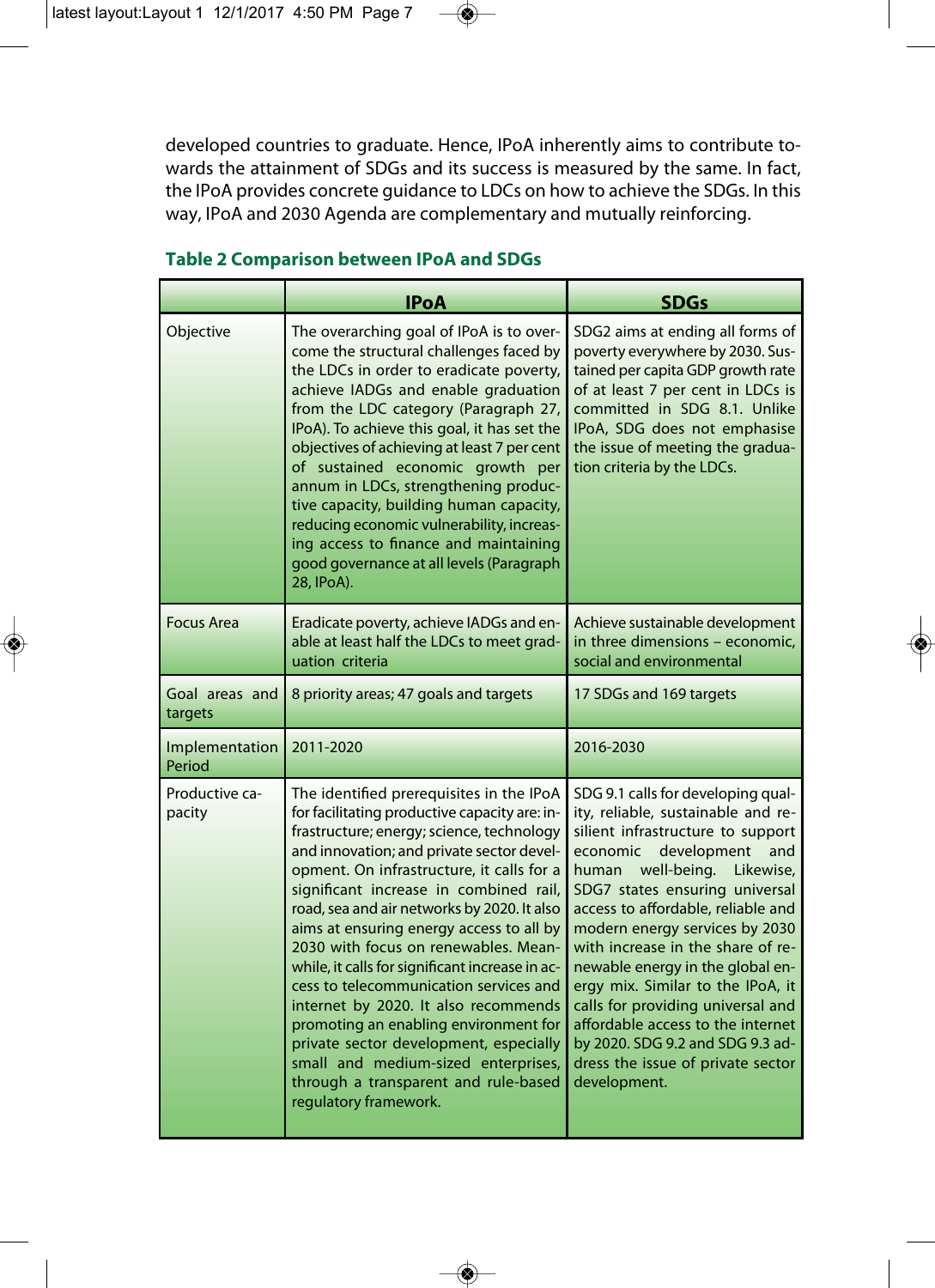developed countries to graduate. Hence, IPoA inherently aims to contribute towards the attainment of SDGs and its success is measured by the same. In fact, the IPoA provides concrete guidance to LDCs on how to achieve the SDGs. In this way, IPoA and 2030 Agenda are complementary and mutually reinforcing.

|                           | <b>IPoA</b>                                                                                                                                                                                                                                                                                                                                                                                                                                                                                                                                                                                                                                                                                                                                   | <b>SDGs</b>                                                                                                                                                                                                                                                                                                                                                                                                                                                                                                                                                               |
|---------------------------|-----------------------------------------------------------------------------------------------------------------------------------------------------------------------------------------------------------------------------------------------------------------------------------------------------------------------------------------------------------------------------------------------------------------------------------------------------------------------------------------------------------------------------------------------------------------------------------------------------------------------------------------------------------------------------------------------------------------------------------------------|---------------------------------------------------------------------------------------------------------------------------------------------------------------------------------------------------------------------------------------------------------------------------------------------------------------------------------------------------------------------------------------------------------------------------------------------------------------------------------------------------------------------------------------------------------------------------|
| Objective                 | The overarching goal of IPoA is to over-<br>come the structural challenges faced by<br>the LDCs in order to eradicate poverty,<br>achieve IADGs and enable graduation<br>from the LDC category (Paragraph 27,<br>IPoA). To achieve this goal, it has set the<br>objectives of achieving at least 7 per cent<br>of sustained economic growth per<br>annum in LDCs, strengthening produc-<br>tive capacity, building human capacity,<br>reducing economic vulnerability, increas-<br>ing access to finance and maintaining<br>good governance at all levels (Paragraph<br>28, IPoA).                                                                                                                                                            | SDG2 aims at ending all forms of<br>poverty everywhere by 2030. Sus-<br>tained per capita GDP growth rate<br>of at least 7 per cent in LDCs is<br>committed in SDG 8.1. Unlike<br>IPoA, SDG does not emphasise<br>the issue of meeting the gradua-<br>tion criteria by the LDCs.                                                                                                                                                                                                                                                                                          |
| <b>Focus Area</b>         | Eradicate poverty, achieve IADGs and en-<br>able at least half the LDCs to meet grad-<br>uation criteria                                                                                                                                                                                                                                                                                                                                                                                                                                                                                                                                                                                                                                      | Achieve sustainable development<br>in three dimensions - economic,<br>social and environmental                                                                                                                                                                                                                                                                                                                                                                                                                                                                            |
| Goal areas and<br>targets | 8 priority areas; 47 goals and targets                                                                                                                                                                                                                                                                                                                                                                                                                                                                                                                                                                                                                                                                                                        | 17 SDGs and 169 targets                                                                                                                                                                                                                                                                                                                                                                                                                                                                                                                                                   |
| Implementation<br>Period  | 2011-2020                                                                                                                                                                                                                                                                                                                                                                                                                                                                                                                                                                                                                                                                                                                                     | 2016-2030                                                                                                                                                                                                                                                                                                                                                                                                                                                                                                                                                                 |
| Productive ca-<br>pacity  | The identified prerequisites in the IPoA<br>for facilitating productive capacity are: in-<br>frastructure; energy; science, technology<br>and innovation; and private sector devel-<br>opment. On infrastructure, it calls for a<br>significant increase in combined rail,<br>road, sea and air networks by 2020. It also<br>aims at ensuring energy access to all by<br>2030 with focus on renewables. Mean-<br>while, it calls for significant increase in ac-<br>cess to telecommunication services and<br>internet by 2020. It also recommends<br>promoting an enabling environment for<br>private sector development, especially<br>small and medium-sized enterprises,<br>through a transparent and rule-based<br>regulatory framework. | SDG 9.1 calls for developing qual-<br>ity, reliable, sustainable and re-<br>silient infrastructure to support<br>development<br>economic<br>and<br>human well-being. Likewise,<br>SDG7 states ensuring universal<br>access to affordable, reliable and<br>modern energy services by 2030<br>with increase in the share of re-<br>newable energy in the global en-<br>ergy mix. Similar to the IPoA, it<br>calls for providing universal and<br>affordable access to the internet<br>by 2020. SDG 9.2 and SDG 9.3 ad-<br>dress the issue of private sector<br>development. |

#### **Table 2 Comparison between IPoA and SDGs**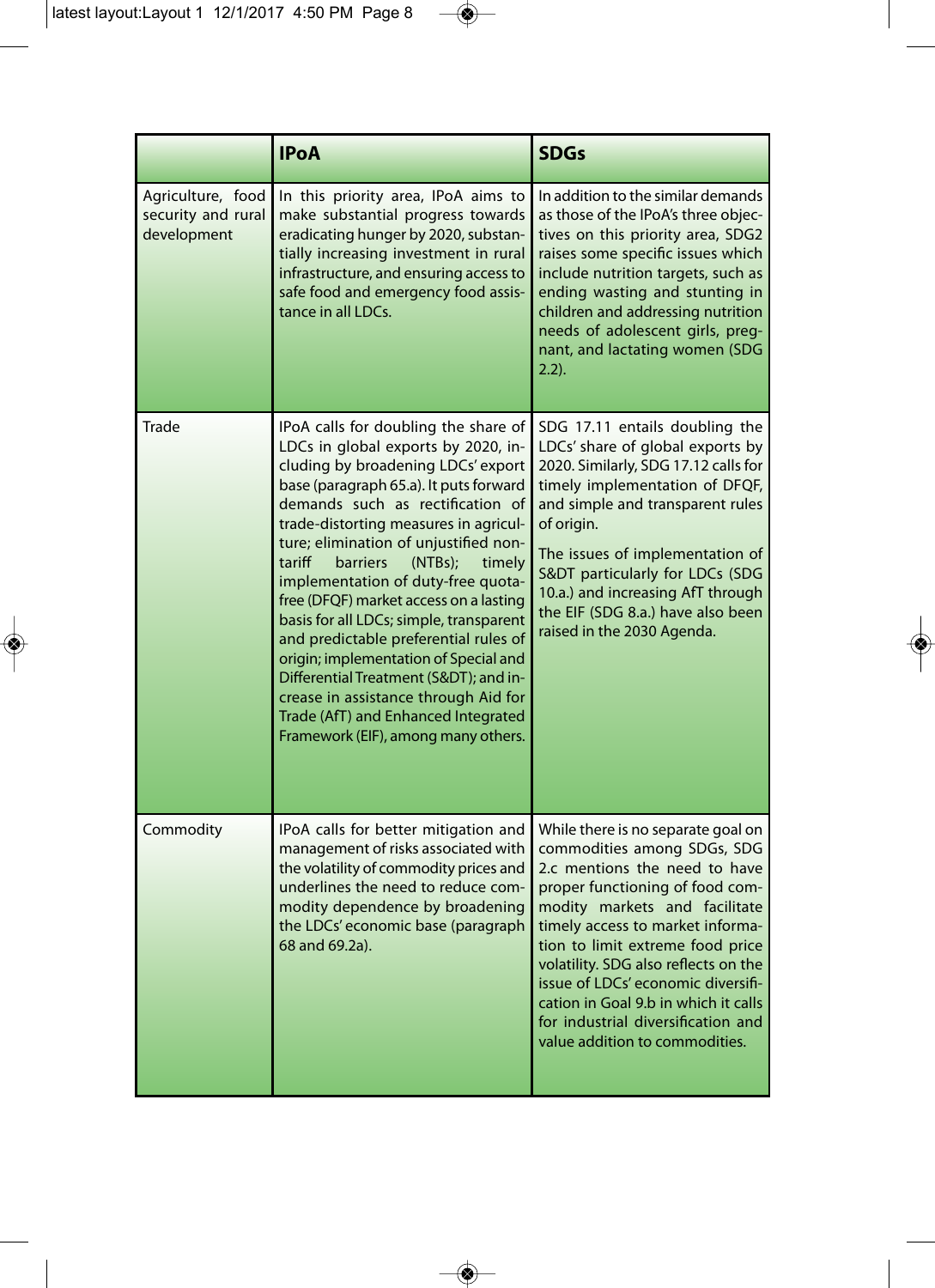$\begin{array}{c} \bullet \end{array}$ 

|                                                        | <b>IPoA</b>                                                                                                                                                                                                                                                                                                                                                                                                                                                                                                                                                                                                                                                                                                      | <b>SDGs</b>                                                                                                                                                                                                                                                                                                                                                                                                                                  |
|--------------------------------------------------------|------------------------------------------------------------------------------------------------------------------------------------------------------------------------------------------------------------------------------------------------------------------------------------------------------------------------------------------------------------------------------------------------------------------------------------------------------------------------------------------------------------------------------------------------------------------------------------------------------------------------------------------------------------------------------------------------------------------|----------------------------------------------------------------------------------------------------------------------------------------------------------------------------------------------------------------------------------------------------------------------------------------------------------------------------------------------------------------------------------------------------------------------------------------------|
| Agriculture, food<br>security and rural<br>development | In this priority area, IPoA aims to<br>make substantial progress towards<br>eradicating hunger by 2020, substan-<br>tially increasing investment in rural<br>infrastructure, and ensuring access to<br>safe food and emergency food assis-<br>tance in all LDCs.                                                                                                                                                                                                                                                                                                                                                                                                                                                 | In addition to the similar demands<br>as those of the IPoA's three objec-<br>tives on this priority area, SDG2<br>raises some specific issues which<br>include nutrition targets, such as<br>ending wasting and stunting in<br>children and addressing nutrition<br>needs of adolescent girls, preg-<br>nant, and lactating women (SDG<br>$2.2$ ).                                                                                           |
| Trade                                                  | IPoA calls for doubling the share of<br>LDCs in global exports by 2020, in-<br>cluding by broadening LDCs' export<br>base (paragraph 65.a). It puts forward<br>demands such as rectification of<br>trade-distorting measures in agricul-<br>ture; elimination of unjustified non-<br>tariff<br><b>barriers</b><br>(NTBs);<br>timely<br>implementation of duty-free quota-<br>free (DFQF) market access on a lasting<br>basis for all LDCs; simple, transparent<br>and predictable preferential rules of<br>origin; implementation of Special and<br>Differential Treatment (S&DT); and in-<br>crease in assistance through Aid for<br>Trade (AfT) and Enhanced Integrated<br>Framework (EIF), among many others. | SDG 17.11 entails doubling the<br>LDCs' share of global exports by<br>2020. Similarly, SDG 17.12 calls for<br>timely implementation of DFQF,<br>and simple and transparent rules<br>of origin.<br>The issues of implementation of<br>S&DT particularly for LDCs (SDG<br>10.a.) and increasing AfT through<br>the EIF (SDG 8.a.) have also been<br>raised in the 2030 Agenda.                                                                 |
| Commodity                                              | IPoA calls for better mitigation and<br>management of risks associated with<br>the volatility of commodity prices and<br>underlines the need to reduce com-<br>modity dependence by broadening<br>the LDCs' economic base (paragraph<br>68 and 69.2a).                                                                                                                                                                                                                                                                                                                                                                                                                                                           | While there is no separate goal on<br>commodities among SDGs, SDG<br>2.c mentions the need to have<br>proper functioning of food com-<br>modity markets and facilitate<br>timely access to market informa-<br>tion to limit extreme food price<br>volatility. SDG also reflects on the<br>issue of LDCs' economic diversifi-<br>cation in Goal 9.b in which it calls<br>for industrial diversification and<br>value addition to commodities. |

 $\rightarrow$ 

 $\begin{array}{c} \bullet \end{array}$ 

 $\overline{\bullet}$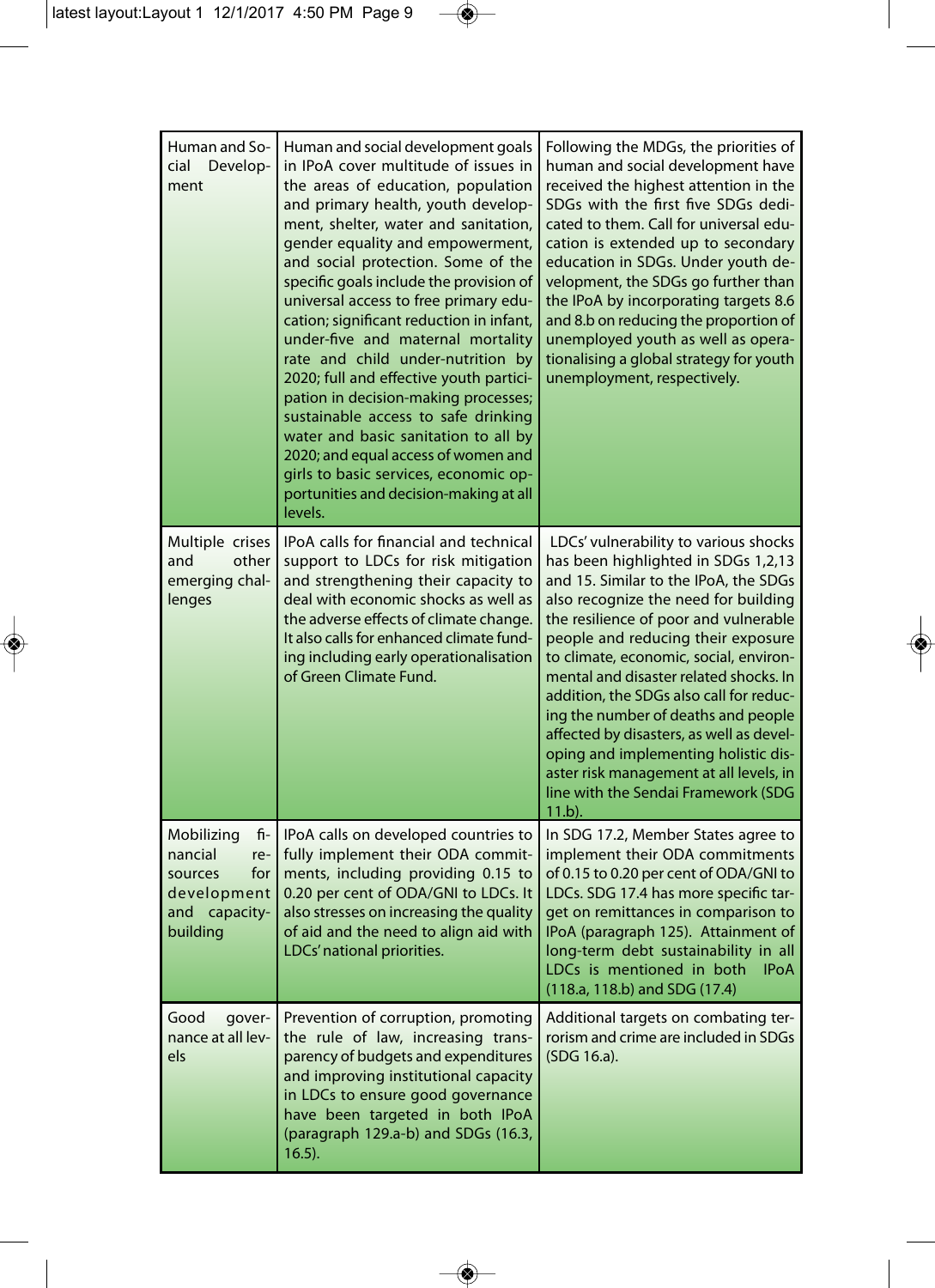$\begin{array}{c} \bullet \end{array}$ 

| Human and So-<br>cial<br>Develop-<br>ment                                                         | Human and social development goals<br>in IPoA cover multitude of issues in<br>the areas of education, population<br>and primary health, youth develop-<br>ment, shelter, water and sanitation,<br>gender equality and empowerment,<br>and social protection. Some of the<br>specific goals include the provision of<br>universal access to free primary edu-<br>cation; significant reduction in infant,<br>under-five and maternal mortality<br>rate and child under-nutrition by<br>2020; full and effective youth partici-<br>pation in decision-making processes;<br>sustainable access to safe drinking<br>water and basic sanitation to all by<br>2020; and equal access of women and<br>girls to basic services, economic op-<br>portunities and decision-making at all<br>levels. | Following the MDGs, the priorities of<br>human and social development have<br>received the highest attention in the<br>SDGs with the first five SDGs dedi-<br>cated to them. Call for universal edu-<br>cation is extended up to secondary<br>education in SDGs. Under youth de-<br>velopment, the SDGs go further than<br>the IPoA by incorporating targets 8.6<br>and 8.b on reducing the proportion of<br>unemployed youth as well as opera-<br>tionalising a global strategy for youth<br>unemployment, respectively.                                                                             |
|---------------------------------------------------------------------------------------------------|-------------------------------------------------------------------------------------------------------------------------------------------------------------------------------------------------------------------------------------------------------------------------------------------------------------------------------------------------------------------------------------------------------------------------------------------------------------------------------------------------------------------------------------------------------------------------------------------------------------------------------------------------------------------------------------------------------------------------------------------------------------------------------------------|-------------------------------------------------------------------------------------------------------------------------------------------------------------------------------------------------------------------------------------------------------------------------------------------------------------------------------------------------------------------------------------------------------------------------------------------------------------------------------------------------------------------------------------------------------------------------------------------------------|
| Multiple crises<br>other<br>and<br>emerging chal-<br>lenges                                       | IPoA calls for financial and technical<br>support to LDCs for risk mitigation<br>and strengthening their capacity to<br>deal with economic shocks as well as<br>the adverse effects of climate change.<br>It also calls for enhanced climate fund-<br>ing including early operationalisation<br>of Green Climate Fund.                                                                                                                                                                                                                                                                                                                                                                                                                                                                    | LDCs' vulnerability to various shocks<br>has been highlighted in SDGs 1,2,13<br>and 15. Similar to the IPoA, the SDGs<br>also recognize the need for building<br>the resilience of poor and vulnerable<br>people and reducing their exposure<br>to climate, economic, social, environ-<br>mental and disaster related shocks. In<br>addition, the SDGs also call for reduc-<br>ing the number of deaths and people<br>affected by disasters, as well as devel-<br>oping and implementing holistic dis-<br>aster risk management at all levels, in<br>line with the Sendai Framework (SDG<br>$11.b$ ). |
| Mobilizing<br>fi-<br>nancial<br>re-<br>for<br>sources<br>development<br>and capacity-<br>building | IPoA calls on developed countries to<br>fully implement their ODA commit-<br>ments, including providing 0.15 to<br>0.20 per cent of ODA/GNI to LDCs. It<br>also stresses on increasing the quality<br>of aid and the need to align aid with<br>LDCs' national priorities.                                                                                                                                                                                                                                                                                                                                                                                                                                                                                                                 | In SDG 17.2, Member States agree to<br>implement their ODA commitments<br>of 0.15 to 0.20 per cent of ODA/GNI to<br>LDCs. SDG 17.4 has more specific tar-<br>get on remittances in comparison to<br>IPoA (paragraph 125). Attainment of<br>long-term debt sustainability in all<br>LDCs is mentioned in both<br><b>IPoA</b><br>(118.a, 118.b) and SDG (17.4)                                                                                                                                                                                                                                          |
| Good<br>gover-<br>nance at all lev-<br>els                                                        | Prevention of corruption, promoting<br>the rule of law, increasing trans-<br>parency of budgets and expenditures<br>and improving institutional capacity<br>in LDCs to ensure good governance<br>have been targeted in both IPoA<br>(paragraph 129.a-b) and SDGs (16.3,<br>$16.5$ ).                                                                                                                                                                                                                                                                                                                                                                                                                                                                                                      | Additional targets on combating ter-<br>rorism and crime are included in SDGs<br>(SDG 16.a).                                                                                                                                                                                                                                                                                                                                                                                                                                                                                                          |

 $\rightarrow$ 

 $\begin{array}{c} \bullet \end{array}$ 

 $\overline{\bullet}$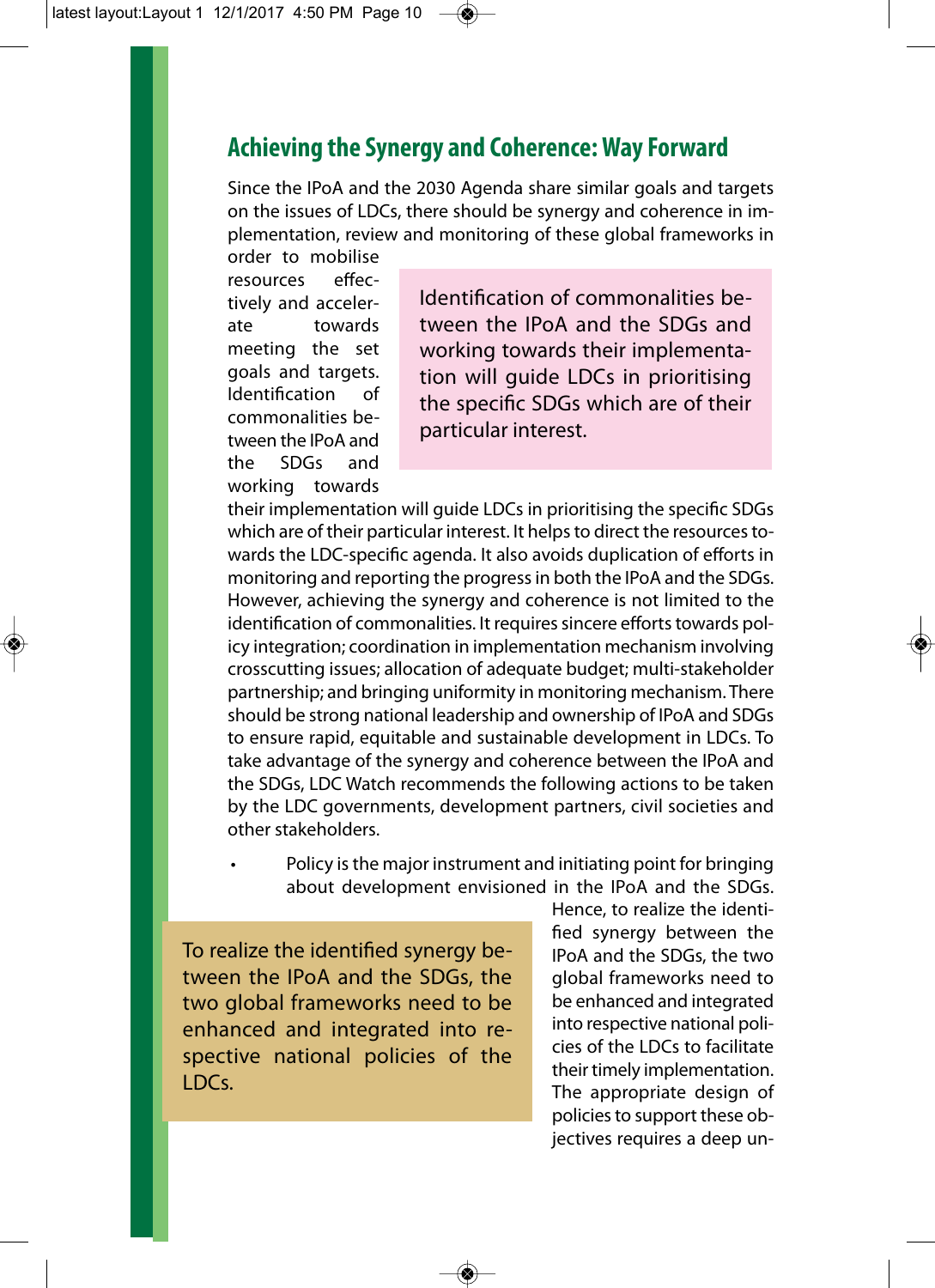## **Achieving the Synergy and Coherence: Way Forward**

Since the IPoA and the 2030 Agenda share similar goals and targets on the issues of LDCs, there should be synergy and coherence in implementation, review and monitoring of these global frameworks in order to mobilise

resources effectively and accelerate towards meeting the set goals and targets. Identification of commonalities between the IPoA and the SDGs and working towards

Identification of commonalities between the IPoA and the SDGs and working towards their implementation will guide LDCs in prioritising the specific SDGs which are of their particular interest.

their implementation will guide LDCs in prioritising the specific SDGs which are of their particular interest. It helps to direct the resources towards the LDC-specific agenda. It also avoids duplication of efforts in monitoring and reporting the progress in both the IPoA and the SDGs. However, achieving the synergy and coherence is not limited to the identification of commonalities. It requires sincere efforts towards policy integration; coordination in implementation mechanism involving crosscutting issues; allocation of adequate budget; multi-stakeholder partnership; and bringing uniformity in monitoring mechanism. There should be strong national leadership and ownership of IPoA and SDGs to ensure rapid, equitable and sustainable development in LDCs. To take advantage of the synergy and coherence between the IPoA and the SDGs, LDC Watch recommends the following actions to be taken by the LDC governments, development partners, civil societies and other stakeholders.

• Policy is the major instrument and initiating point for bringing about development envisioned in the IPoA and the SDGs.

To realize the identified synergy between the IPoA and the SDGs, the two global frameworks need to be enhanced and integrated into respective national policies of the LDCs.

Hence, to realize the identified synergy between the IPoA and the SDGs, the two global frameworks need to be enhanced and integrated into respective national policies of the LDCs to facilitate their timely implementation. The appropriate design of policies to support these objectives requires a deep un-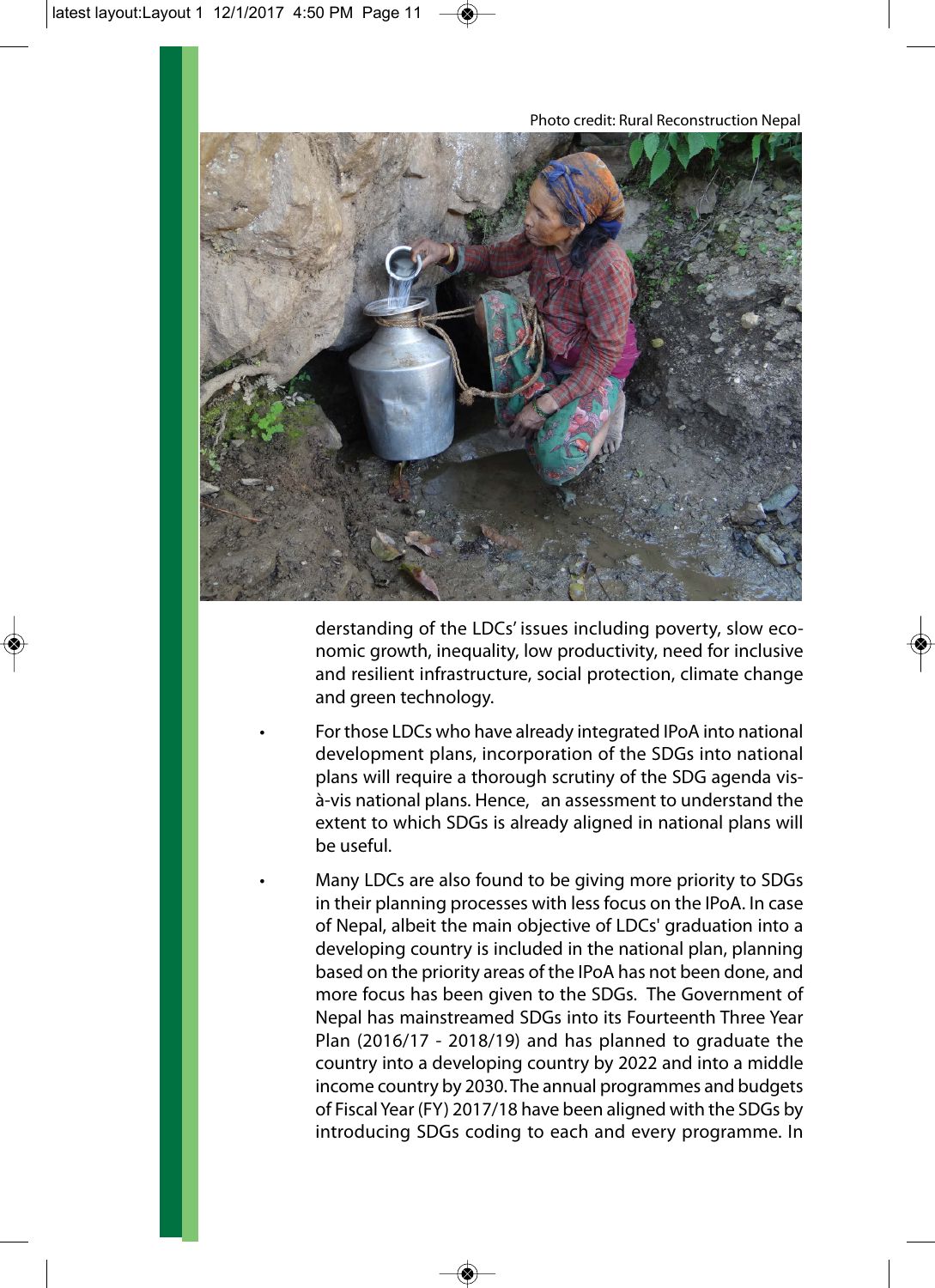

derstanding of the LDCs' issues including poverty, slow economic growth, inequality, low productivity, need for inclusive and resilient infrastructure, social protection, climate change and green technology.

• For those LDCs who have already integrated IPoA into national development plans, incorporation of the SDGs into national plans will require a thorough scrutiny of the SDG agenda visà-vis national plans. Hence, an assessment to understand the extent to which SDGs is already aligned in national plans will be useful.

• Many LDCs are also found to be giving more priority to SDGs in their planning processes with less focus on the IPoA. In case of Nepal, albeit the main objective of LDCs' graduation into a developing country is included in the national plan, planning based on the priority areas of the IPoA has not been done, and more focus has been given to the SDGs. The Government of Nepal has mainstreamed SDGs into its Fourteenth Three Year Plan (2016/17 - 2018/19) and has planned to graduate the country into a developing country by 2022 and into a middle income country by 2030. The annual programmes and budgets of Fiscal Year (FY) 2017/18 have been aligned with the SDGs by introducing SDGs coding to each and every programme. In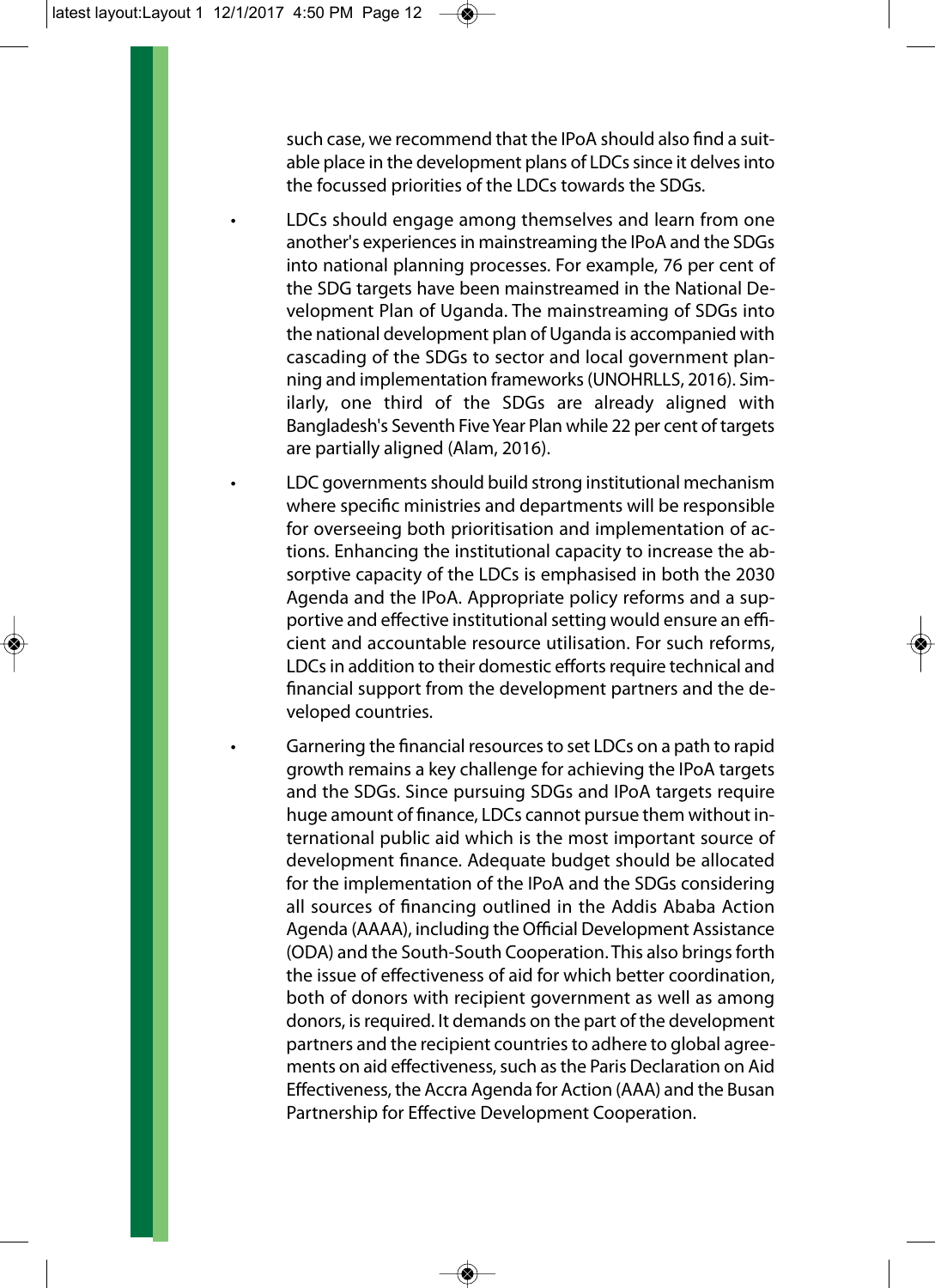such case, we recommend that the IPoA should also find a suitable place in the development plans of LDCs since it delves into the focussed priorities of the LDCs towards the SDGs.

• LDCs should engage among themselves and learn from one another's experiences in mainstreaming the IPoA and the SDGs into national planning processes. For example, 76 per cent of the SDG targets have been mainstreamed in the National Development Plan of Uganda. The mainstreaming of SDGs into the national development plan of Uganda is accompanied with cascading of the SDGs to sector and local government planning and implementation frameworks (UNOHRLLS, 2016). Similarly, one third of the SDGs are already aligned with Bangladesh's Seventh Five Year Plan while 22 per cent of targets are partially aligned (Alam, 2016).

• LDC governments should build strong institutional mechanism where specific ministries and departments will be responsible for overseeing both prioritisation and implementation of actions. Enhancing the institutional capacity to increase the absorptive capacity of the LDCs is emphasised in both the 2030 Agenda and the IPoA. Appropriate policy reforms and a supportive and effective institutional setting would ensure an efficient and accountable resource utilisation. For such reforms, LDCs in addition to their domestic efforts require technical and financial support from the development partners and the developed countries.

• Garnering the financial resources to set LDCs on a path to rapid growth remains a key challenge for achieving the IPoA targets and the SDGs. Since pursuing SDGs and IPoA targets require huge amount of finance, LDCs cannot pursue them without international public aid which is the most important source of development finance. Adequate budget should be allocated for the implementation of the IPoA and the SDGs considering all sources of financing outlined in the Addis Ababa Action Agenda (AAAA), including the Official Development Assistance (ODA) and the South-South Cooperation. This also brings forth the issue of effectiveness of aid for which better coordination, both of donors with recipient government as well as among donors, is required. It demands on the part of the development partners and the recipient countries to adhere to global agreements on aid effectiveness, such as the Paris Declaration on Aid Effectiveness, the Accra Agenda for Action (AAA) and the Busan Partnership for Effective Development Cooperation.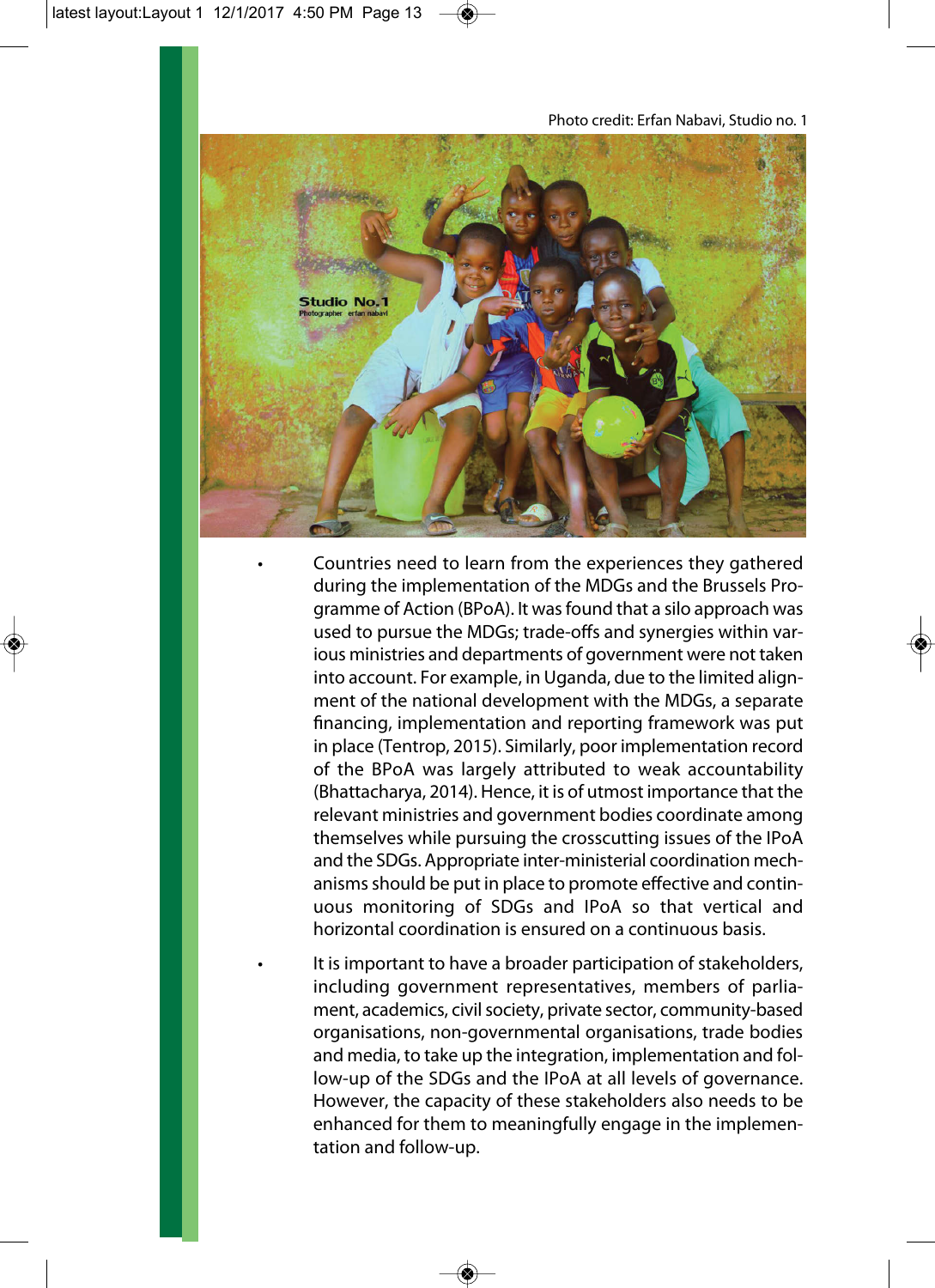

• Countries need to learn from the experiences they gathered during the implementation of the MDGs and the Brussels Programme of Action (BPoA). It was found that a silo approach was used to pursue the MDGs; trade-offs and synergies within various ministries and departments of government were not taken into account. For example, in Uganda, due to the limited alignment of the national development with the MDGs, a separate financing, implementation and reporting framework was put in place (Tentrop, 2015). Similarly, poor implementation record of the BPoA was largely attributed to weak accountability (Bhattacharya, 2014). Hence, it is of utmost importance that the relevant ministries and government bodies coordinate among themselves while pursuing the crosscutting issues of the IPoA and the SDGs. Appropriate inter-ministerial coordination mechanisms should be put in place to promote effective and continuous monitoring of SDGs and IPoA so that vertical and horizontal coordination is ensured on a continuous basis.

It is important to have a broader participation of stakeholders, including government representatives, members of parliament, academics, civil society, private sector, community-based organisations, non-governmental organisations, trade bodies and media, to take up the integration, implementation and follow-up of the SDGs and the IPoA at all levels of governance. However, the capacity of these stakeholders also needs to be enhanced for them to meaningfully engage in the implementation and follow-up.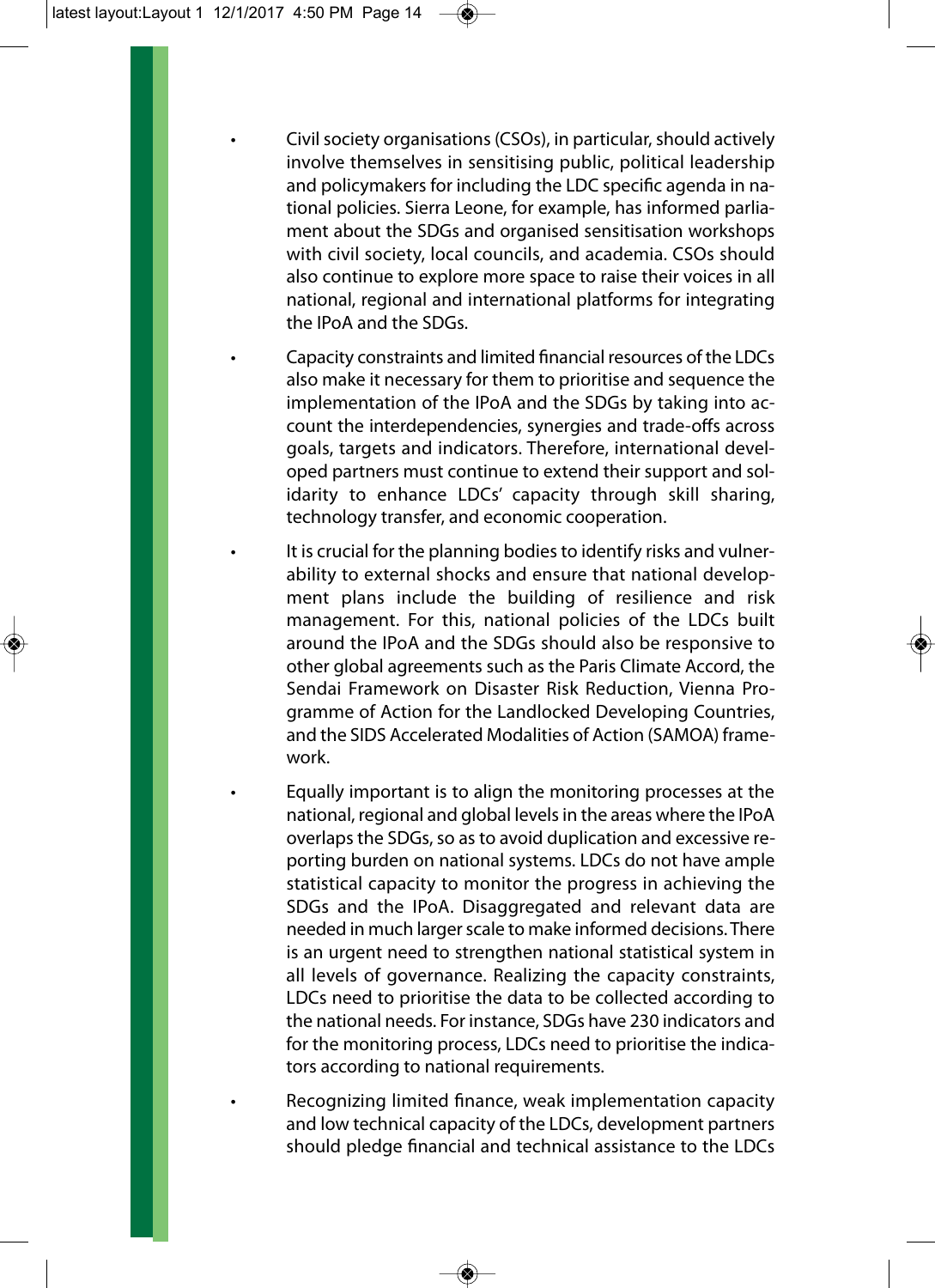- Civil society organisations (CSOs), in particular, should actively involve themselves in sensitising public, political leadership and policymakers for including the LDC specific agenda in national policies. Sierra Leone, for example, has informed parliament about the SDGs and organised sensitisation workshops with civil society, local councils, and academia. CSOs should also continue to explore more space to raise their voices in all national, regional and international platforms for integrating the IPoA and the SDGs.
- Capacity constraints and limited financial resources of the LDCs also make it necessary for them to prioritise and sequence the implementation of the IPoA and the SDGs by taking into account the interdependencies, synergies and trade-offs across goals, targets and indicators. Therefore, international developed partners must continue to extend their support and solidarity to enhance LDCs' capacity through skill sharing, technology transfer, and economic cooperation.
- It is crucial for the planning bodies to identify risks and vulnerability to external shocks and ensure that national development plans include the building of resilience and risk management. For this, national policies of the LDCs built around the IPoA and the SDGs should also be responsive to other global agreements such as the Paris Climate Accord, the Sendai Framework on Disaster Risk Reduction, Vienna Programme of Action for the Landlocked Developing Countries, and the SIDS Accelerated Modalities of Action (SAMOA) framework.
- Equally important is to align the monitoring processes at the national, regional and global levels in the areas where the IPoA overlaps the SDGs, so as to avoid duplication and excessive reporting burden on national systems. LDCs do not have ample statistical capacity to monitor the progress in achieving the SDGs and the IPoA. Disaggregated and relevant data are needed in much larger scale to make informed decisions. There is an urgent need to strengthen national statistical system in all levels of governance. Realizing the capacity constraints, LDCs need to prioritise the data to be collected according to the national needs. For instance, SDGs have 230 indicators and for the monitoring process, LDCs need to prioritise the indicators according to national requirements.

• Recognizing limited finance, weak implementation capacity and low technical capacity of the LDCs, development partners should pledge financial and technical assistance to the LDCs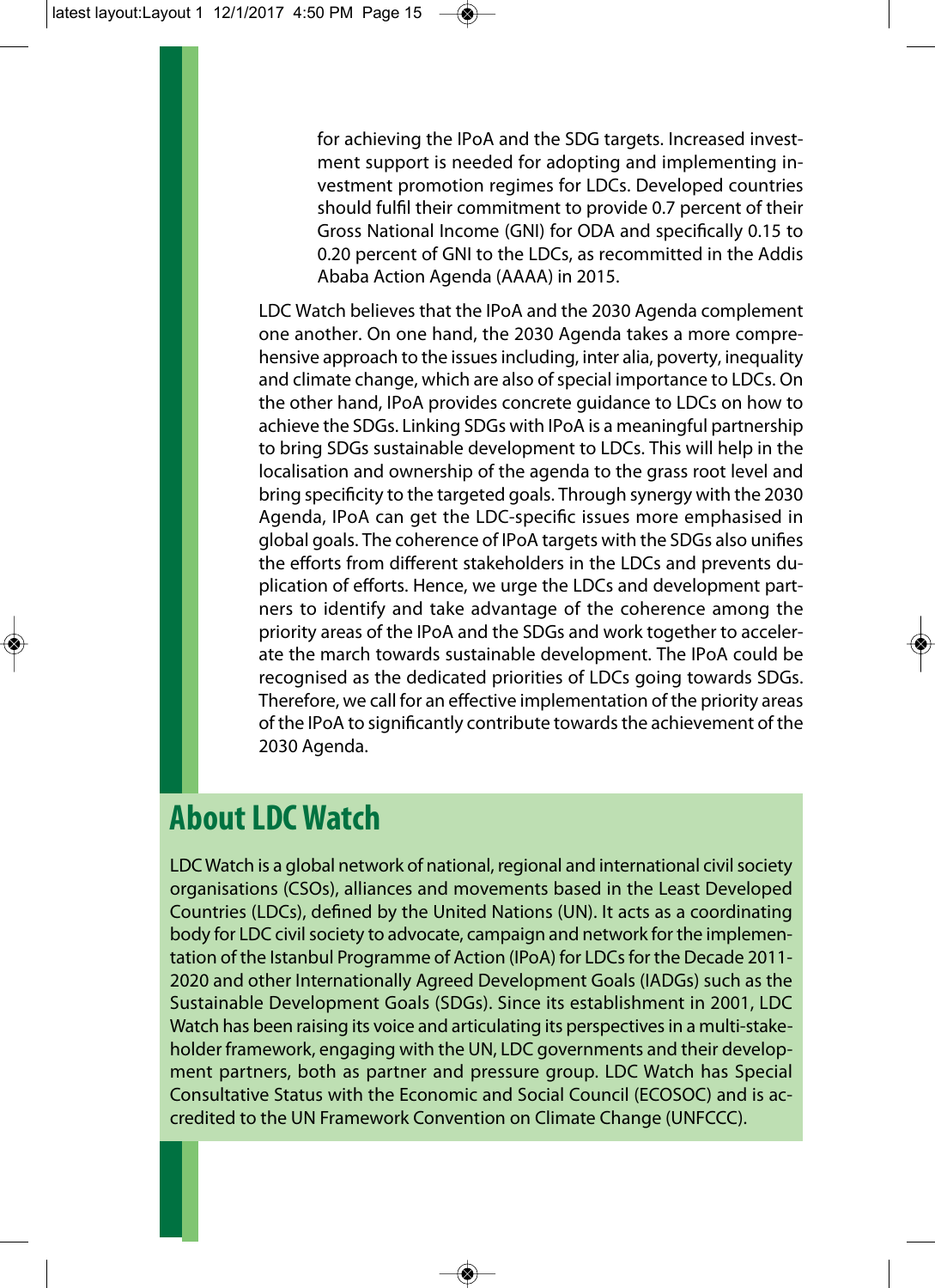for achieving the IPoA and the SDG targets. Increased investment support is needed for adopting and implementing investment promotion regimes for LDCs. Developed countries should fulfil their commitment to provide 0.7 percent of their Gross National Income (GNI) for ODA and specifically 0.15 to 0.20 percent of GNI to the LDCs, as recommitted in the Addis Ababa Action Agenda (AAAA) in 2015.

LDC Watch believes that the IPoA and the 2030 Agenda complement one another. On one hand, the 2030 Agenda takes a more comprehensive approach to the issues including, inter alia, poverty, inequality and climate change, which are also of special importance to LDCs. On the other hand, IPoA provides concrete guidance to LDCs on how to achieve the SDGs. Linking SDGs with IPoA is a meaningful partnership to bring SDGs sustainable development to LDCs. This will help in the localisation and ownership of the agenda to the grass root level and bring specificity to the targeted goals. Through synergy with the 2030 Agenda, IPoA can get the LDC-specific issues more emphasised in global goals. The coherence of IPoA targets with the SDGs also unifies the efforts from different stakeholders in the LDCs and prevents duplication of efforts. Hence, we urge the LDCs and development partners to identify and take advantage of the coherence among the priority areas of the IPoA and the SDGs and work together to accelerate the march towards sustainable development. The IPoA could be recognised as the dedicated priorities of LDCs going towards SDGs. Therefore, we call for an effective implementation of the priority areas of the IPoA to significantly contribute towards the achievement of the 2030 Agenda.

## **About LDC Watch**

LDC Watch is a global network of national, regional and international civil society organisations (CSOs), alliances and movements based in the Least Developed Countries (LDCs), defined by the United Nations (UN). It acts as a coordinating body for LDC civil society to advocate, campaign and network for the implementation of the Istanbul Programme of Action (IPoA) for LDCs for the Decade 2011- 2020 and other Internationally Agreed Development Goals (IADGs) such as the Sustainable Development Goals (SDGs). Since its establishment in 2001, LDC Watch has been raising its voice and articulating its perspectives in a multi-stakeholder framework, engaging with the UN, LDC governments and their development partners, both as partner and pressure group. LDC Watch has Special Consultative Status with the Economic and Social Council (ECOSOC) and is accredited to the UN Framework Convention on Climate Change (UNFCCC).